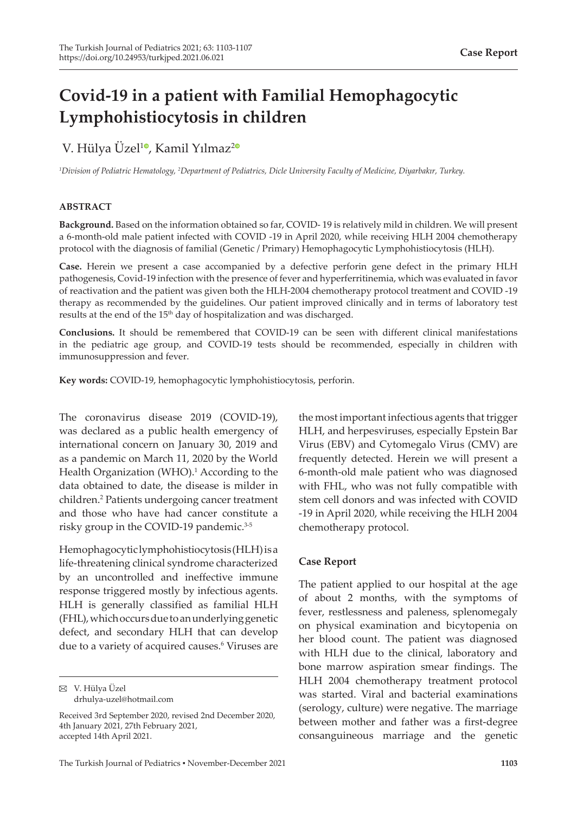# **Covid-19 in a patient with Familial Hemophagocytic Lymphohistiocytosis in children**

# V. Hülya Üzel<sup>10</sup>[,](https://orcid.org/0000-0002-3037-2353) Kamil Yılmaz<sup>[2](https://orcid.org/0000-0001-5137-0501)0</sup>

*1 Division of Pediatric Hematology, 2 Department of Pediatrics, Dicle University Faculty of Medicine, Diyarbakır, Turkey.*

## **ABSTRACT**

**Background.** Based on the information obtained so far, COVID- 19 is relatively mild in children. We will present a 6-month-old male patient infected with COVID -19 in April 2020, while receiving HLH 2004 chemotherapy protocol with the diagnosis of familial (Genetic / Primary) Hemophagocytic Lymphohistiocytosis (HLH).

**Case.** Herein we present a case accompanied by a defective perforin gene defect in the primary HLH pathogenesis, Covid-19 infection with the presence of fever and hyperferritinemia, which was evaluated in favor of reactivation and the patient was given both the HLH-2004 chemotherapy protocol treatment and COVID -19 therapy as recommended by the guidelines. Our patient improved clinically and in terms of laboratory test results at the end of the 15<sup>th</sup> day of hospitalization and was discharged.

**Conclusions.** It should be remembered that COVID-19 can be seen with different clinical manifestations in the pediatric age group, and COVID-19 tests should be recommended, especially in children with immunosuppression and fever.

**Key words:** COVID-19, hemophagocytic lymphohistiocytosis, perforin.

The coronavirus disease 2019 (COVID-19), was declared as a public health emergency of international concern on January 30, 2019 and as a pandemic on March 11, 2020 by the World Health Organization (WHO).<sup>1</sup> According to the data obtained to date, the disease is milder in children.<sup>2</sup> Patients undergoing cancer treatment and those who have had cancer constitute a risky group in the COVID-19 pandemic.<sup>3-5</sup>

Hemophagocytic lymphohistiocytosis (HLH) is a life-threatening clinical syndrome characterized by an uncontrolled and ineffective immune response triggered mostly by infectious agents. HLH is generally classified as familial HLH (FHL), which occurs due to an underlying genetic defect, and secondary HLH that can develop due to a variety of acquired causes.<sup>6</sup> Viruses are

the most important infectious agents that trigger HLH, and herpesviruses, especially Epstein Bar Virus (EBV) and Cytomegalo Virus (CMV) are frequently detected. Herein we will present a 6-month-old male patient who was diagnosed with FHL, who was not fully compatible with stem cell donors and was infected with COVID -19 in April 2020, while receiving the HLH 2004 chemotherapy protocol.

# **Case Report**

The patient applied to our hospital at the age of about 2 months, with the symptoms of fever, restlessness and paleness, splenomegaly on physical examination and bicytopenia on her blood count. The patient was diagnosed with HLH due to the clinical, laboratory and bone marrow aspiration smear findings. The HLH 2004 chemotherapy treatment protocol was started. Viral and bacterial examinations (serology, culture) were negative. The marriage between mother and father was a first-degree consanguineous marriage and the genetic

V. Hülya Üzel drhulya-uzel@hotmail.com

Received 3rd September 2020, revised 2nd December 2020, 4th January 2021, 27th February 2021, accepted 14th April 2021.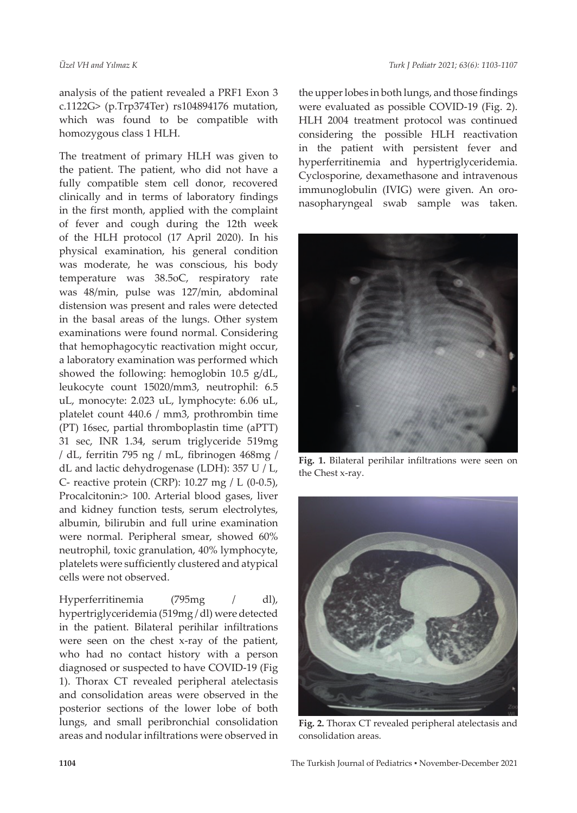analysis of the patient revealed a PRF1 Exon 3 c.1122G> (p.Trp374Ter) rs104894176 mutation, which was found to be compatible with homozygous class 1 HLH.

The treatment of primary HLH was given to the patient. The patient, who did not have a fully compatible stem cell donor, recovered clinically and in terms of laboratory findings in the first month, applied with the complaint of fever and cough during the 12th week of the HLH protocol (17 April 2020). In his physical examination, his general condition was moderate, he was conscious, his body temperature was 38.5oC, respiratory rate was 48/min, pulse was 127/min, abdominal distension was present and rales were detected in the basal areas of the lungs. Other system examinations were found normal. Considering that hemophagocytic reactivation might occur, a laboratory examination was performed which showed the following: hemoglobin 10.5 g/dL, leukocyte count 15020/mm3, neutrophil: 6.5 uL, monocyte: 2.023 uL, lymphocyte: 6.06 uL, platelet count 440.6 / mm3, prothrombin time (PT) 16sec, partial thromboplastin time (aPTT) 31 sec, INR 1.34, serum triglyceride 519mg / dL, ferritin 795 ng / mL, fibrinogen 468mg / dL and lactic dehydrogenase (LDH): 357 U / L, C‐ reactive protein (CRP): 10.27 mg / L (0-0.5), Procalcitonin:> 100. Arterial blood gases, liver and kidney function tests, serum electrolytes, albumin, bilirubin and full urine examination were normal. Peripheral smear, showed 60% neutrophil, toxic granulation, 40% lymphocyte, platelets were sufficiently clustered and atypical cells were not observed.

Hyperferritinemia (795mg / dl), hypertriglyceridemia (519mg / dl) were detected in the patient. Bilateral perihilar infiltrations were seen on the chest x-ray of the patient, who had no contact history with a person diagnosed or suspected to have COVID-19 (Fig 1). Thorax CT revealed peripheral atelectasis and consolidation areas were observed in the posterior sections of the lower lobe of both lungs, and small peribronchial consolidation areas and nodular infiltrations were observed in

the upper lobes in both lungs, and those findings were evaluated as possible COVID-19 (Fig. 2). HLH 2004 treatment protocol was continued considering the possible HLH reactivation in the patient with persistent fever and hyperferritinemia and hypertriglyceridemia. Cyclosporine, dexamethasone and intravenous immunoglobulin (IVIG) were given. An oronasopharyngeal swab sample was taken.



**Fig. 1.** Bilateral perihilar infiltrations were seen on the Chest x-ray.



**Fig. 2.** Thorax CT revealed peripheral atelectasis and consolidation areas.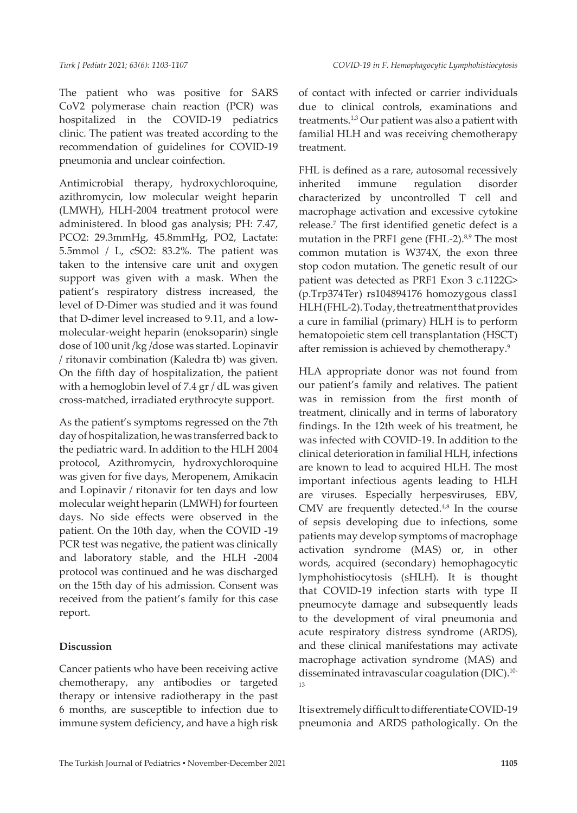The patient who was positive for SARS CoV2 polymerase chain reaction (PCR) was hospitalized in the COVID-19 pediatrics clinic. The patient was treated according to the recommendation of guidelines for COVID-19 pneumonia and unclear coinfection.

Antimicrobial therapy, hydroxychloroquine, azithromycin, low molecular weight heparin (LMWH), HLH-2004 treatment protocol were administered. In blood gas analysis; PH: 7.47, PCO2: 29.3mmHg, 45.8mmHg, PO2, Lactate: 5.5mmol / L, cSO2: 83.2%. The patient was taken to the intensive care unit and oxygen support was given with a mask. When the patient's respiratory distress increased, the level of D-Dimer was studied and it was found that D-dimer level increased to 9.11, and a lowmolecular-weight heparin (enoksoparin) single dose of 100 unit /kg /dose was started. Lopinavir / ritonavir combination (Kaledra tb) was given. On the fifth day of hospitalization, the patient with a hemoglobin level of 7.4 gr / dL was given cross-matched, irradiated erythrocyte support.

As the patient's symptoms regressed on the 7th day of hospitalization, he was transferred back to the pediatric ward. In addition to the HLH 2004 protocol, Azithromycin, hydroxychloroquine was given for five days, Meropenem, Amikacin and Lopinavir / ritonavir for ten days and low molecular weight heparin (LMWH) for fourteen days. No side effects were observed in the patient. On the 10th day, when the COVID -19 PCR test was negative, the patient was clinically and laboratory stable, and the HLH -2004 protocol was continued and he was discharged on the 15th day of his admission. Consent was received from the patient's family for this case report.

# **Discussion**

Cancer patients who have been receiving active chemotherapy, any antibodies or targeted therapy or intensive radiotherapy in the past 6 months, are susceptible to infection due to immune system deficiency, and have a high risk of contact with infected or carrier individuals due to clinical controls, examinations and treatments.1,3 Our patient was also a patient with familial HLH and was receiving chemotherapy treatment.

FHL is defined as a rare, autosomal recessively inherited immune regulation disorder characterized by uncontrolled T cell and macrophage activation and excessive cytokine release.<sup>7</sup> The first identified genetic defect is a mutation in the PRF1 gene (FHL-2). $8,9$  The most common mutation is W374X, the exon three stop codon mutation. The genetic result of our patient was detected as PRF1 Exon 3 c.1122G> (p.Trp374Ter) rs104894176 homozygous class1 HLH (FHL-2). Today, the treatment that provides a cure in familial (primary) HLH is to perform hematopoietic stem cell transplantation (HSCT) after remission is achieved by chemotherapy.9

HLA appropriate donor was not found from our patient's family and relatives. The patient was in remission from the first month of treatment, clinically and in terms of laboratory findings. In the 12th week of his treatment, he was infected with COVID-19. In addition to the clinical deterioration in familial HLH, infections are known to lead to acquired HLH. The most important infectious agents leading to HLH are viruses. Especially herpesviruses, EBV, CMV are frequently detected. $4,8$  In the course of sepsis developing due to infections, some patients may develop symptoms of macrophage activation syndrome (MAS) or, in other words, acquired (secondary) hemophagocytic lymphohistiocytosis (sHLH). It is thought that COVID-19 infection starts with type II pneumocyte damage and subsequently leads to the development of viral pneumonia and acute respiratory distress syndrome (ARDS), and these clinical manifestations may activate macrophage activation syndrome (MAS) and disseminated intravascular coagulation (DIC).10- 13

It is extremely difficult to differentiate COVID-19 pneumonia and ARDS pathologically. On the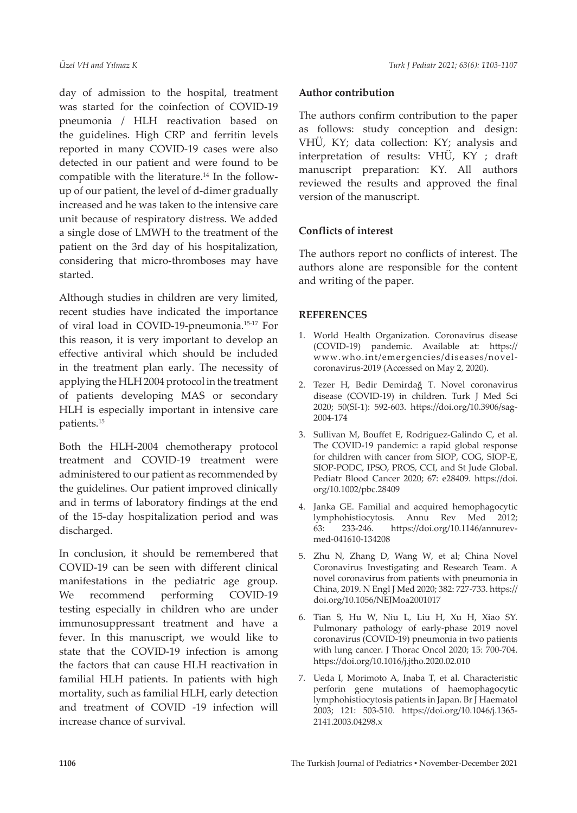day of admission to the hospital, treatment was started for the coinfection of COVID-19 pneumonia / HLH reactivation based on the guidelines. High CRP and ferritin levels reported in many COVID-19 cases were also detected in our patient and were found to be compatible with the literature.<sup>14</sup> In the followup of our patient, the level of d-dimer gradually increased and he was taken to the intensive care unit because of respiratory distress. We added a single dose of LMWH to the treatment of the patient on the 3rd day of his hospitalization, considering that micro-thromboses may have started.

Although studies in children are very limited, recent studies have indicated the importance of viral load in COVID-19-pneumonia.15-17 For this reason, it is very important to develop an effective antiviral which should be included in the treatment plan early. The necessity of applying the HLH 2004 protocol in the treatment of patients developing MAS or secondary HLH is especially important in intensive care patients.<sup>15</sup>

Both the HLH-2004 chemotherapy protocol treatment and COVID-19 treatment were administered to our patient as recommended by the guidelines. Our patient improved clinically and in terms of laboratory findings at the end of the 15-day hospitalization period and was discharged.

In conclusion, it should be remembered that COVID-19 can be seen with different clinical manifestations in the pediatric age group. We recommend performing COVID-19 testing especially in children who are under immunosuppressant treatment and have a fever. In this manuscript, we would like to state that the COVID-19 infection is among the factors that can cause HLH reactivation in familial HLH patients. In patients with high mortality, such as familial HLH, early detection and treatment of COVID -19 infection will increase chance of survival.

## **Author contribution**

The authors confirm contribution to the paper as follows: study conception and design: VHÜ, KY; data collection: KY; analysis and interpretation of results: VHÜ, KY ; draft manuscript preparation: KY. All authors reviewed the results and approved the final version of the manuscript.

## **Conflicts of interest**

The authors report no conflicts of interest. The authors alone are responsible for the content and writing of the paper.

## **REFERENCES**

- 1. World Health Organization. Coronavirus disease (COVID-19) pandemic. Available at: [https://](https://www.who.int/emergencies/diseases/novel-coronavirus-2019) [www.who.int/emergencies/diseases/novel](https://www.who.int/emergencies/diseases/novel-coronavirus-2019)[coronavirus-2019](https://www.who.int/emergencies/diseases/novel-coronavirus-2019) (Accessed on May 2, 2020).
- 2. Tezer H, Bedir Demirdağ T. Novel coronavirus disease (COVID-19) in children. Turk J Med Sci 2020; 50(SI-1): 592-603. [https://doi.org/10.3906/sag-](https://doi.org/10.3906/sag-2004-174)[2004-174](https://doi.org/10.3906/sag-2004-174)
- 3. Sullivan M, Bouffet E, Rodriguez-Galindo C, et al. The COVID-19 pandemic: a rapid global response for children with cancer from SIOP, COG, SIOP-E, SIOP-PODC, IPSO, PROS, CCI, and St Jude Global. Pediatr Blood Cancer 2020; 67: e28409. [https://doi.](https://doi.org/10.1002/pbc.28409) [org/10.1002/pbc.28409](https://doi.org/10.1002/pbc.28409)
- 4. Janka GE. Familial and acquired hemophagocytic lymphohistiocytosis. Annu Rev Med 2012; 63: 233-246. [https://doi.org/10.1146/annurev](https://doi.org/10.1146/annurev-med-041610-134208)[med-041610-134208](https://doi.org/10.1146/annurev-med-041610-134208)
- 5. Zhu N, Zhang D, Wang W, et al; China Novel Coronavirus Investigating and Research Team. A novel coronavirus from patients with pneumonia in China, 2019. N Engl J Med 2020; 382: 727-733. [https://](https://doi.org/10.1056/NEJMoa2001017) [doi.org/10.1056/NEJMoa2001017](https://doi.org/10.1056/NEJMoa2001017)
- 6. Tian S, Hu W, Niu L, Liu H, Xu H, Xiao SY. Pulmonary pathology of early-phase 2019 novel coronavirus (COVID-19) pneumonia in two patients with lung cancer. J Thorac Oncol 2020; 15: 700-704. <https://doi.org/10.1016/j.jtho.2020.02.010>
- 7. Ueda I, Morimoto A, Inaba T, et al. Characteristic perforin gene mutations of haemophagocytic lymphohistiocytosis patients in Japan. Br J Haematol 2003; 121: 503-510. [https://doi.org/10.1046/j.1365-](https://doi.org/10.1046/j.1365-2141.2003.04298.x) [2141.2003.04298.x](https://doi.org/10.1046/j.1365-2141.2003.04298.x)